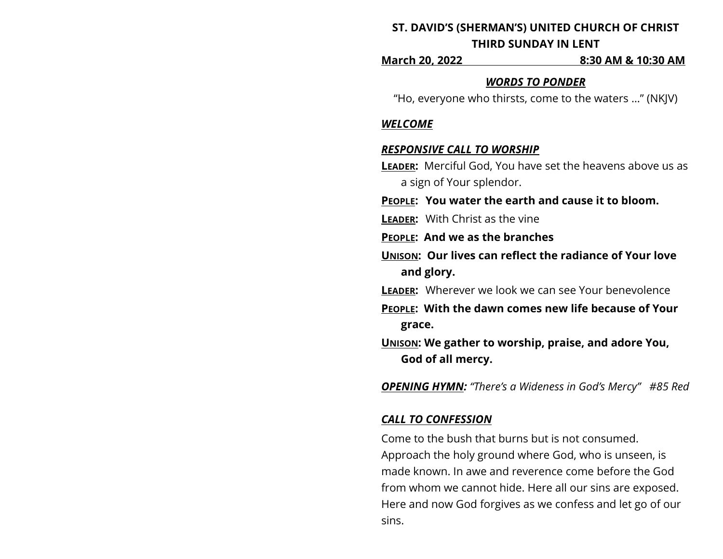# **ST. DAVID'S (SHERMAN'S) UNITED CHURCH OF CHRIST THIRD SUNDAY IN LENT**

**March 20, 2022 8:30 AM & 10:30 AM**

### *WORDS TO PONDER*

"Ho, everyone who thirsts, come to the waters …" (NKJV)

### *WELCOME*

#### *RESPONSIVE CALL TO WORSHIP*

- **LEADER:** Merciful God, You have set the heavens above us as a sign of Your splendor.
- **PEOPLE: You water the earth and cause it to bloom.**
- **LEADER:** With Christ as the vine
- **PEOPLE: And we as the branches**
- **UNISON: Our lives can reflect the radiance of Your love and glory.**
- **LEADER:** Wherever we look we can see Your benevolence
- **PEOPLE: With the dawn comes new life because of Your grace.**
- **UNISON: We gather to worship, praise, and adore You, God of all mercy.**

*OPENING HYMN: "There's a Wideness in God's Mercy" #85 Red* 

### *CALL TO CONFESSION*

Come to the bush that burns but is not consumed. Approach the holy ground where God, who is unseen, is made known. In awe and reverence come before the God from whom we cannot hide. Here all our sins are exposed. Here and now God forgives as we confess and let go of our sins.